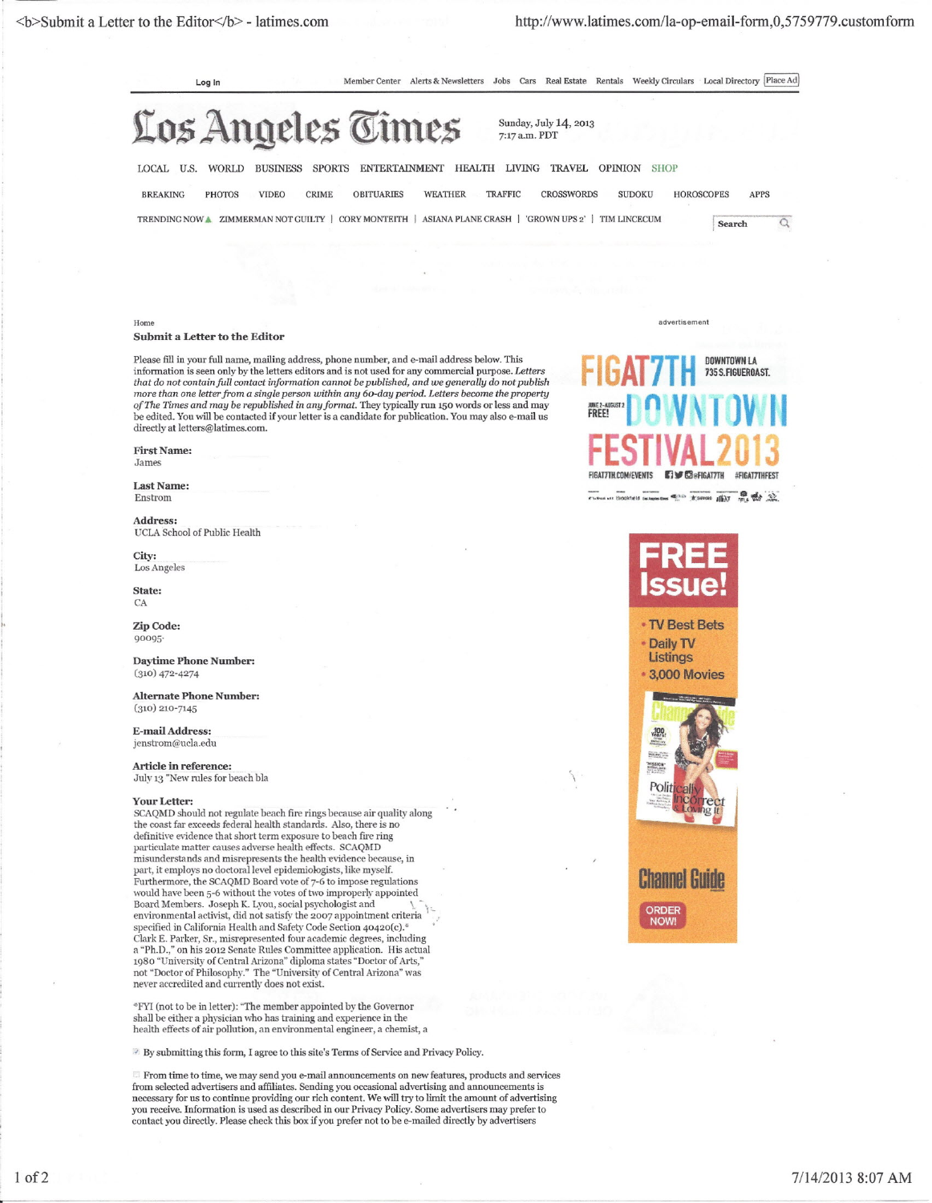<b>Submit a Letter to the *Editor</b>* -latimes.com <http://www.latimes.com/la-op-email-form,O,5759779.cllstomform>

Log In Member Center Alerts & Newsletters Jobs Cars Real Estate Rentals Weekly Circulars Local Directory Place Ad

# Los Angeles Times

Sunday, July 14, 2013 7:17 a.m. PDT

LOCAL U.S. WORLD BUSINESS SPORTS ENTERTAINMENT HEALTH LIVING TRAVEL OPINION SHOP BREAKING PHOTOS VIDEO CRIME OBITUARIES WEATHER TRAFFIC CROSSWORDS SUDOKU HOROSCOPES APPS TRENDING NOW. ZIMMERMAN NOT GUILTY | CORY MONTEITH | ASIANA PLANE CRASH | 'GROWN UPS 2' | TIM LINCECUM Search  $\overline{\Omega}$ 

#### Home advertisement is a structure of the control of the control of the control of the control of the control of the control of the control of the control of the control of the control of the control of the control of the c

### Submit a Letter to the Editor

Please fill in your full name, mailing address, phone number, and e-mail address below. This information is seen only by the letters editors and is not used for any commercial purpose. Letters<br>that do not contain full contact information cannot be published, and we generally do not publis *more than one letter from* a *single person within any 6o-day period. Letters become the property* a/The *Times and may be republished* in *anyformat.* They typically run 150 words or less and may be edited. You will be contacted if your letter is a candidate for publication. You may also e-mail us directly at [letters@latimes.com.](mailto:letters@latimes.com.)

## First Name:

James

Last Name: Enstrom

Address: UCLA School of Public Health

City:

CA

Zip Code: 90095·

Daytime Phone Number: (310) 472-4274

Alternate Phone Number:  $(310)$  210-7145

E-mail Address: [jenstrom@uc1a.edu](mailto:jenstrom@uc1a.edu)

Article in reference: July <sup>13</sup> "New niles for beach bla \

#### Your Letter:

SCAQMD should not regulate beach fire rings because air quality along<br>the coast far exceeds federal health standards. Also, there is no definitive evidence that short term exposure to beach fire ring particulate matter causes adverse health effects. SCAQMD misunderstands and misrepresents the health-evidence becanse, in part, it employs no doctoral level epidemiologists, like myself. Furthermore, the SCAQMD Board vote of 7-6 to impose regulations would have been 5-6 without the votes of two improperly appointed<br>Board Members. Joseph K. Lyou, social psychologist and environmental activist, did not satisfy the 2007 appointment criteria specified in California Health and Safety Code Section 40420(c).\* Clark E. Parker, Sr., misrepresented four academic degrees, including a "Ph.D.," on his 2012 Senate Rules Committee application. His actua<br>1980 "University of Central Arizona" diploma states "Doctor of Arts,"<br>not "Doctor of Philosophy." The "University of Central Arizona" was never accredited and currently does not exist.

<FYI (not to be in letter): "The member appointed by the Governor shall be either a physician who has training and experience in the health effects of air pollution, an environmental engineer, a chemist, a

<sup>3</sup> By submitting this form, I agree to this site's Terms of Service and Privacy Policy.

 $\Box$  From time to time, we may send you e-mail announcements on new features, products and services from selected advertisers and affiliates. Sending you occasional advertising and announcements is necessary for us to continue providing our rich content. We will *try* to limit the amount of advertising you receive. Information is used as described in our Privacy Policy. Some advertisers may prefer to contact you directly. Please check this box if you prefer not to be e-mailed directly by advertisers

FIGAT7TH<sup>DOWNTOWN LA</sup> JUNE 2-AUGUST 2 **n VI )V II** FREE! **FESTIVAL 0 3** AT STOCKTON GAMES OF THE MINT OF THE SAME OF THE SAME OF THE SAME OF THE SAME OF THE SAME OF THE SAME OF THE SAME OF THE SAME OF THE SAME OF THE SAME OF THE SAME OF THE SAME OF THE SAME OF THE SAME OF THE SAME OF THE SAME



• TV Best Bets -OailyTV **Listings** • 3,000 Movies



**Channel Guide** 

I,